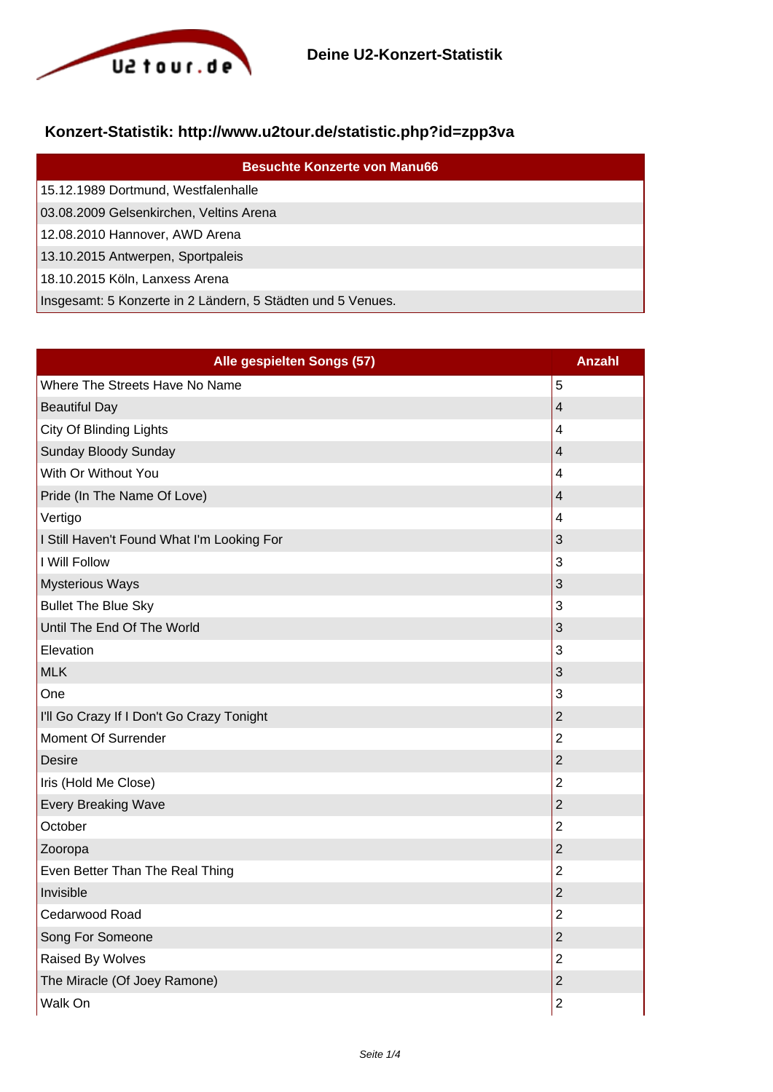

## **Konzert-Statistik: http://www.u2tour.de/statistic.php?id=zpp3va**

| <b>Besuchte Konzerte von Manu66</b>                         |
|-------------------------------------------------------------|
| 15.12.1989 Dortmund, Westfalenhalle                         |
| 03.08.2009 Gelsenkirchen, Veltins Arena                     |
| 12.08.2010 Hannover, AWD Arena                              |
| 13.10.2015 Antwerpen, Sportpaleis                           |
| 18.10.2015 Köln, Lanxess Arena                              |
| Insgesamt: 5 Konzerte in 2 Ländern, 5 Städten und 5 Venues. |

| Alle gespielten Songs (57)                 | <b>Anzahl</b>  |
|--------------------------------------------|----------------|
| Where The Streets Have No Name             | 5              |
| <b>Beautiful Day</b>                       | $\overline{4}$ |
| City Of Blinding Lights                    | 4              |
| Sunday Bloody Sunday                       | $\overline{4}$ |
| With Or Without You                        | 4              |
| Pride (In The Name Of Love)                | $\overline{4}$ |
| Vertigo                                    | 4              |
| I Still Haven't Found What I'm Looking For | 3              |
| <b>I Will Follow</b>                       | 3              |
| <b>Mysterious Ways</b>                     | 3              |
| <b>Bullet The Blue Sky</b>                 | 3              |
| Until The End Of The World                 | 3              |
| Elevation                                  | 3              |
| <b>MLK</b>                                 | 3              |
| One                                        | 3              |
| I'll Go Crazy If I Don't Go Crazy Tonight  | $\overline{2}$ |
| Moment Of Surrender                        | $\overline{2}$ |
| <b>Desire</b>                              | $\overline{2}$ |
| Iris (Hold Me Close)                       | $\overline{2}$ |
| Every Breaking Wave                        | $\overline{2}$ |
| October                                    | $\overline{2}$ |
| Zooropa                                    | $\overline{c}$ |
| Even Better Than The Real Thing            | $\overline{2}$ |
| Invisible                                  | $\overline{2}$ |
| Cedarwood Road                             | $\overline{2}$ |
| Song For Someone                           | $\overline{2}$ |
| Raised By Wolves                           | $\overline{2}$ |
| The Miracle (Of Joey Ramone)               | $\overline{2}$ |
| Walk On                                    | $\overline{2}$ |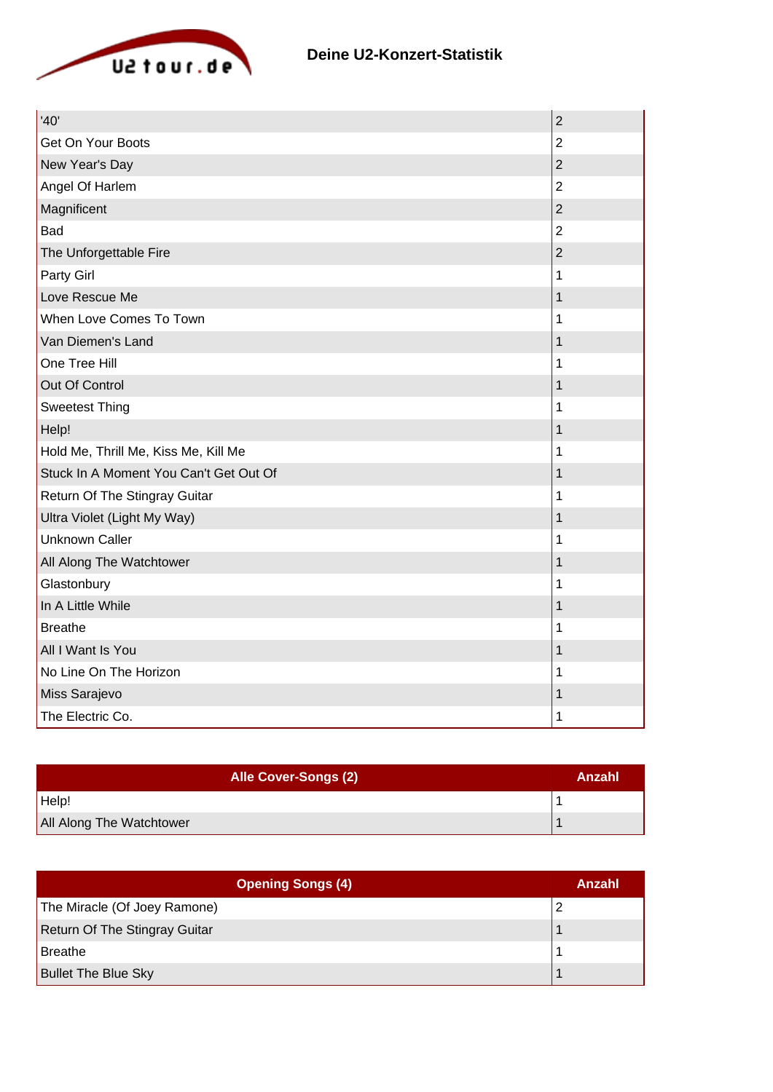

| '40'                                   | $\overline{2}$ |
|----------------------------------------|----------------|
| Get On Your Boots                      | $\overline{2}$ |
| New Year's Day                         | $\overline{2}$ |
| Angel Of Harlem                        | $\overline{2}$ |
| Magnificent                            | $\overline{2}$ |
| Bad                                    | $\overline{2}$ |
| The Unforgettable Fire                 | $\overline{2}$ |
| Party Girl                             | 1              |
| Love Rescue Me                         | 1              |
| When Love Comes To Town                | 1              |
| Van Diemen's Land                      | 1              |
| One Tree Hill                          | 1              |
| Out Of Control                         | 1              |
| <b>Sweetest Thing</b>                  | 1              |
| Help!                                  | 1              |
| Hold Me, Thrill Me, Kiss Me, Kill Me   | 1              |
| Stuck In A Moment You Can't Get Out Of | 1              |
| Return Of The Stingray Guitar          | 1              |
| Ultra Violet (Light My Way)            | 1              |
| <b>Unknown Caller</b>                  | 1              |
| All Along The Watchtower               | 1              |
| Glastonbury                            | 1              |
| In A Little While                      | 1              |
| <b>Breathe</b>                         | 1              |
| All I Want Is You                      | 1              |
| No Line On The Horizon                 | 1              |
| Miss Sarajevo                          | 1              |
| The Electric Co.                       | 1              |

| <b>Alle Cover-Songs (2)</b> | Anzahl |
|-----------------------------|--------|
| Help!                       |        |
| All Along The Watchtower    |        |

| <b>Opening Songs (4)</b>      | Anzahl |
|-------------------------------|--------|
| The Miracle (Of Joey Ramone)  |        |
| Return Of The Stingray Guitar |        |
| Breathe                       |        |
| <b>Bullet The Blue Sky</b>    |        |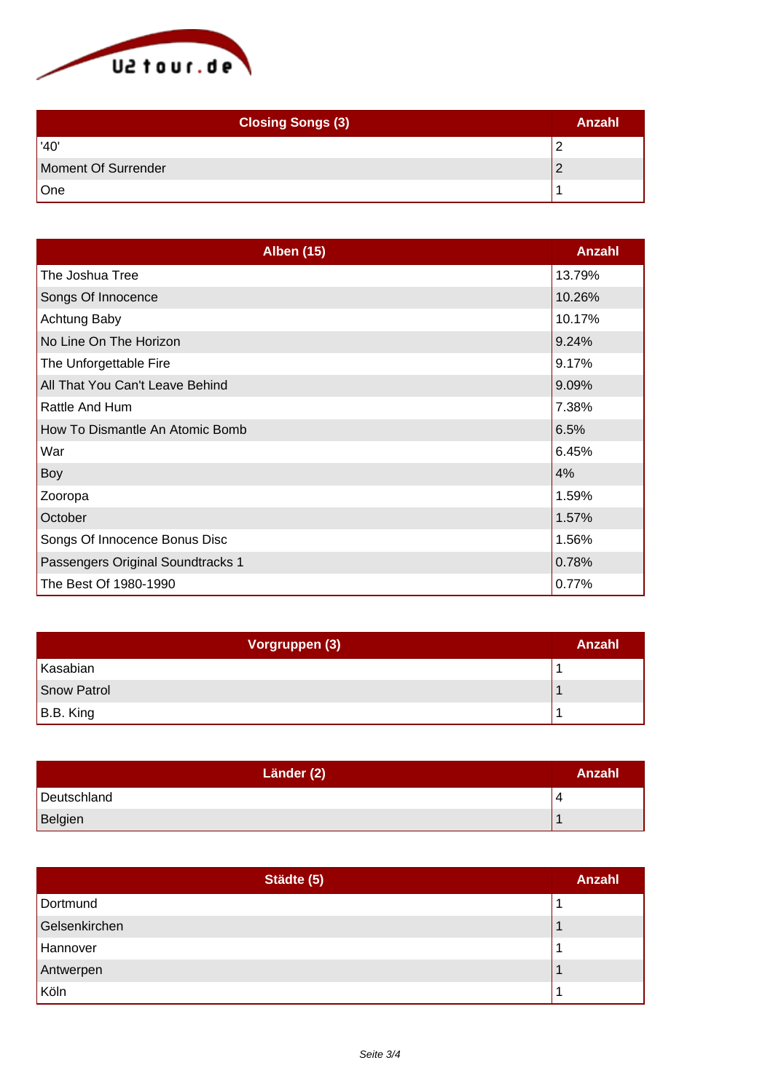

| <b>Closing Songs (3)</b> | Anzahl |
|--------------------------|--------|
| '40'                     |        |
| Moment Of Surrender      |        |
| One                      |        |

| <b>Alben (15)</b>                 | Anzahl |
|-----------------------------------|--------|
| The Joshua Tree                   | 13.79% |
| Songs Of Innocence                | 10.26% |
| Achtung Baby                      | 10.17% |
| No Line On The Horizon            | 9.24%  |
| The Unforgettable Fire            | 9.17%  |
| All That You Can't Leave Behind   | 9.09%  |
| Rattle And Hum                    | 7.38%  |
| How To Dismantle An Atomic Bomb   | 6.5%   |
| War                               | 6.45%  |
| Boy                               | 4%     |
| Zooropa                           | 1.59%  |
| October                           | 1.57%  |
| Songs Of Innocence Bonus Disc     | 1.56%  |
| Passengers Original Soundtracks 1 | 0.78%  |
| The Best Of 1980-1990             | 0.77%  |

| Vorgruppen (3) | Anzahl |
|----------------|--------|
| Kasabian       |        |
| Snow Patrol    |        |
| B.B. King      |        |

| Länder (2)  | Anzahl |
|-------------|--------|
| Deutschland |        |
| Belgien     |        |

| Städte (5)    | <b>Anzahl</b> |
|---------------|---------------|
| Dortmund      |               |
| Gelsenkirchen |               |
| Hannover      |               |
| Antwerpen     |               |
| Köln          |               |